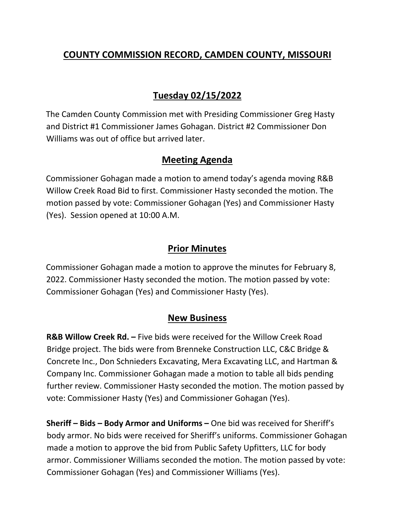# **COUNTY COMMISSION RECORD, CAMDEN COUNTY, MISSOURI**

# **Tuesday 02/15/2022**

The Camden County Commission met with Presiding Commissioner Greg Hasty and District #1 Commissioner James Gohagan. District #2 Commissioner Don Williams was out of office but arrived later.

## **Meeting Agenda**

Commissioner Gohagan made a motion to amend today's agenda moving R&B Willow Creek Road Bid to first. Commissioner Hasty seconded the motion. The motion passed by vote: Commissioner Gohagan (Yes) and Commissioner Hasty (Yes). Session opened at 10:00 A.M.

### **Prior Minutes**

Commissioner Gohagan made a motion to approve the minutes for February 8, 2022. Commissioner Hasty seconded the motion. The motion passed by vote: Commissioner Gohagan (Yes) and Commissioner Hasty (Yes).

### **New Business**

**R&B Willow Creek Rd. –** Five bids were received for the Willow Creek Road Bridge project. The bids were from Brenneke Construction LLC, C&C Bridge & Concrete Inc., Don Schnieders Excavating, Mera Excavating LLC, and Hartman & Company Inc. Commissioner Gohagan made a motion to table all bids pending further review. Commissioner Hasty seconded the motion. The motion passed by vote: Commissioner Hasty (Yes) and Commissioner Gohagan (Yes).

**Sheriff – Bids – Body Armor and Uniforms –** One bid was received for Sheriff's body armor. No bids were received for Sheriff's uniforms. Commissioner Gohagan made a motion to approve the bid from Public Safety Upfitters, LLC for body armor. Commissioner Williams seconded the motion. The motion passed by vote: Commissioner Gohagan (Yes) and Commissioner Williams (Yes).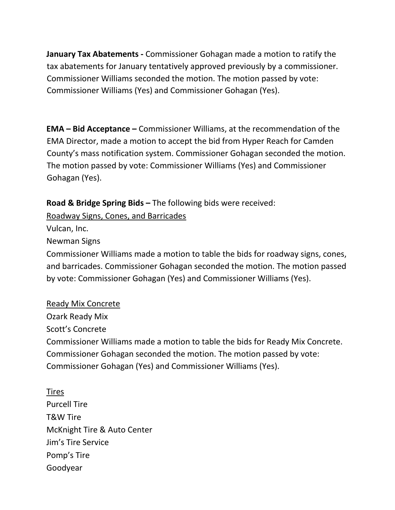**January Tax Abatements -** Commissioner Gohagan made a motion to ratify the tax abatements for January tentatively approved previously by a commissioner. Commissioner Williams seconded the motion. The motion passed by vote: Commissioner Williams (Yes) and Commissioner Gohagan (Yes).

**EMA – Bid Acceptance –** Commissioner Williams, at the recommendation of the EMA Director, made a motion to accept the bid from Hyper Reach for Camden County's mass notification system. Commissioner Gohagan seconded the motion. The motion passed by vote: Commissioner Williams (Yes) and Commissioner Gohagan (Yes).

**Road & Bridge Spring Bids –** The following bids were received:

Roadway Signs, Cones, and Barricades

Vulcan, Inc.

Newman Signs

Commissioner Williams made a motion to table the bids for roadway signs, cones, and barricades. Commissioner Gohagan seconded the motion. The motion passed by vote: Commissioner Gohagan (Yes) and Commissioner Williams (Yes).

Ready Mix Concrete

Ozark Ready Mix

Scott's Concrete

Commissioner Williams made a motion to table the bids for Ready Mix Concrete. Commissioner Gohagan seconded the motion. The motion passed by vote: Commissioner Gohagan (Yes) and Commissioner Williams (Yes).

Tires Purcell Tire T&W Tire McKnight Tire & Auto Center Jim's Tire Service Pomp's Tire Goodyear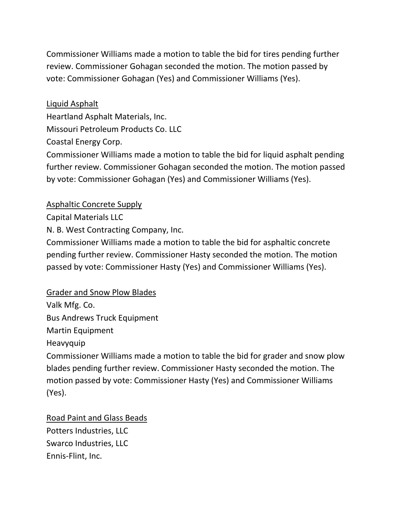Commissioner Williams made a motion to table the bid for tires pending further review. Commissioner Gohagan seconded the motion. The motion passed by vote: Commissioner Gohagan (Yes) and Commissioner Williams (Yes).

# Liquid Asphalt

Heartland Asphalt Materials, Inc.

Missouri Petroleum Products Co. LLC

Coastal Energy Corp.

Commissioner Williams made a motion to table the bid for liquid asphalt pending further review. Commissioner Gohagan seconded the motion. The motion passed by vote: Commissioner Gohagan (Yes) and Commissioner Williams (Yes).

## Asphaltic Concrete Supply

Capital Materials LLC

N. B. West Contracting Company, Inc.

Commissioner Williams made a motion to table the bid for asphaltic concrete pending further review. Commissioner Hasty seconded the motion. The motion passed by vote: Commissioner Hasty (Yes) and Commissioner Williams (Yes).

## Grader and Snow Plow Blades

Valk Mfg. Co. Bus Andrews Truck Equipment Martin Equipment Heavyquip

Commissioner Williams made a motion to table the bid for grader and snow plow blades pending further review. Commissioner Hasty seconded the motion. The motion passed by vote: Commissioner Hasty (Yes) and Commissioner Williams (Yes).

# Road Paint and Glass Beads Potters Industries, LLC Swarco Industries, LLC Ennis-Flint, Inc.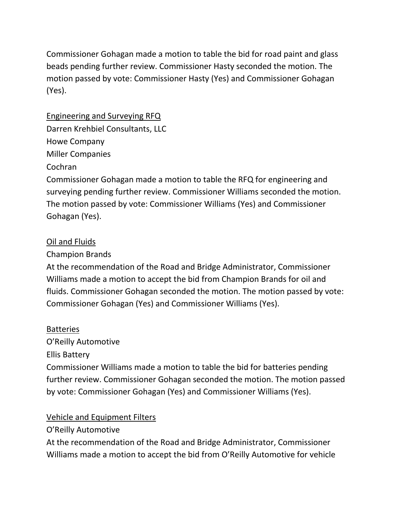Commissioner Gohagan made a motion to table the bid for road paint and glass beads pending further review. Commissioner Hasty seconded the motion. The motion passed by vote: Commissioner Hasty (Yes) and Commissioner Gohagan (Yes).

Engineering and Surveying RFQ Darren Krehbiel Consultants, LLC Howe Company Miller Companies Cochran

Commissioner Gohagan made a motion to table the RFQ for engineering and surveying pending further review. Commissioner Williams seconded the motion. The motion passed by vote: Commissioner Williams (Yes) and Commissioner Gohagan (Yes).

### Oil and Fluids

Champion Brands

At the recommendation of the Road and Bridge Administrator, Commissioner Williams made a motion to accept the bid from Champion Brands for oil and fluids. Commissioner Gohagan seconded the motion. The motion passed by vote: Commissioner Gohagan (Yes) and Commissioner Williams (Yes).

### **Batteries**

O'Reilly Automotive

Ellis Battery

Commissioner Williams made a motion to table the bid for batteries pending further review. Commissioner Gohagan seconded the motion. The motion passed by vote: Commissioner Gohagan (Yes) and Commissioner Williams (Yes).

### Vehicle and Equipment Filters

O'Reilly Automotive

At the recommendation of the Road and Bridge Administrator, Commissioner Williams made a motion to accept the bid from O'Reilly Automotive for vehicle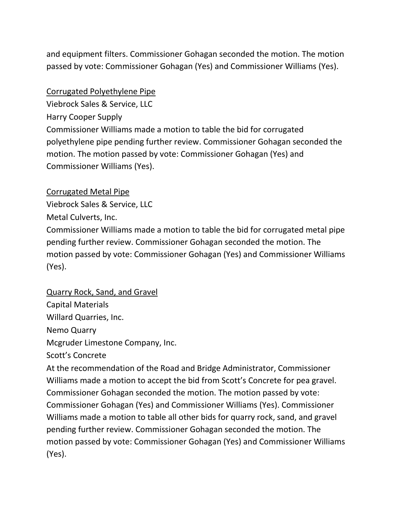and equipment filters. Commissioner Gohagan seconded the motion. The motion passed by vote: Commissioner Gohagan (Yes) and Commissioner Williams (Yes).

#### Corrugated Polyethylene Pipe

Viebrock Sales & Service, LLC Harry Cooper Supply Commissioner Williams made a motion to table the bid for corrugated polyethylene pipe pending further review. Commissioner Gohagan seconded the motion. The motion passed by vote: Commissioner Gohagan (Yes) and Commissioner Williams (Yes).

#### Corrugated Metal Pipe

Viebrock Sales & Service, LLC

Metal Culverts, Inc.

Commissioner Williams made a motion to table the bid for corrugated metal pipe pending further review. Commissioner Gohagan seconded the motion. The motion passed by vote: Commissioner Gohagan (Yes) and Commissioner Williams (Yes).

### Quarry Rock, Sand, and Gravel

Capital Materials Willard Quarries, Inc. Nemo Quarry Mcgruder Limestone Company, Inc. Scott's Concrete At the recommendation of the Road and Bridge Administrator, Commissioner Williams made a motion to accept the bid from Scott's Concrete for pea gravel. Commissioner Gohagan seconded the motion. The motion passed by vote: Commissioner Gohagan (Yes) and Commissioner Williams (Yes). Commissioner Williams made a motion to table all other bids for quarry rock, sand, and gravel pending further review. Commissioner Gohagan seconded the motion. The motion passed by vote: Commissioner Gohagan (Yes) and Commissioner Williams (Yes).